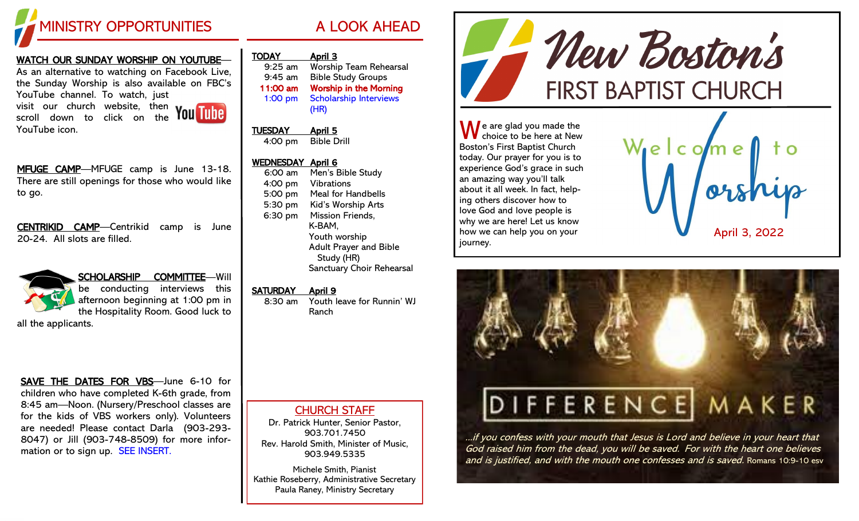

### WATCH OUR SUNDAY WORSHIP ON YOUTUBE— As an alternative to watching on Facebook Live, the Sunday Worship is also available on FBC's YouTube channel. To watch, just visit our church website, then scroll down to click on the



MFUGE CAMP—MFUGE camp is June 13-18. There are still openings for those who would like to go.

CENTRIKID CAMP—Centrikid camp is June 20-24. All slots are filled.



YouTube icon.

SCHOLARSHIP COMMITTEE—Will be conducting interviews this afternoon beginning at 1:00 pm in the Hospitality Room. Good luck to

all the applicants.

### SAVE THE DATES FOR VBS—June 6-10 for children who have completed K-6th grade, from 8:45 am—Noon. (Nursery/Preschool classes are for the kids of VBS workers only). Volunteers are needed! Please contact Darla (903-293- 8047) or Jill (903-748-8509) for more information or to sign up. SEE INSERT.

| <b>TODAY</b> | <u>April 3</u>                        |
|--------------|---------------------------------------|
| $9:25$ am    | <b>Worship Team Rehearsal</b>         |
| $9:45$ am    | <b>Bible Study Groups</b>             |
| 11:00 am     | <b>Worship in the Morning</b>         |
| $1:00$ pm    | <b>Scholarship Interviews</b><br>(HR) |

TUESDAY April 5 4:00 pm Bible Drill

## WEDNESDAY April 6

6:00 am Men's Bible Study 4:00 pm Vibrations 5:00 pm Meal for Handbells 5:30 pm Kid's Worship Arts 6:30 pm Mission Friends, K-BAM, Youth worship Adult Prayer and Bible Study (HR) Sanctuary Choir Rehearsal

## SATURDAY April 9

8:30 am Youth leave for Runnin' WJ Ranch

# CHURCH STAFF

Dr. Patrick Hunter, Senior Pastor, 903.701.7450 Rev. Harold Smith, Minister of Music, 903.949.5335

Michele Smith, Pianist Kathie Roseberry, Administrative Secretary Paula Raney, Ministry Secretary



 $\bigwedge$  e are glad you made the choice to be here at New Boston's First Baptist Church today. Our prayer for you is to experience God's grace in such an amazing way you'll talk about it all week. In fact, helping others discover how to love God and love people is why we are here! Let us know how we can help you on your journey.





...if you confess with your mouth that Jesus is Lord and believe in your heart that God raised him from the dead, you will be saved. For with the heart one believes and is justified, and with the mouth one confesses and is saved. Romans 10:9-10 esv